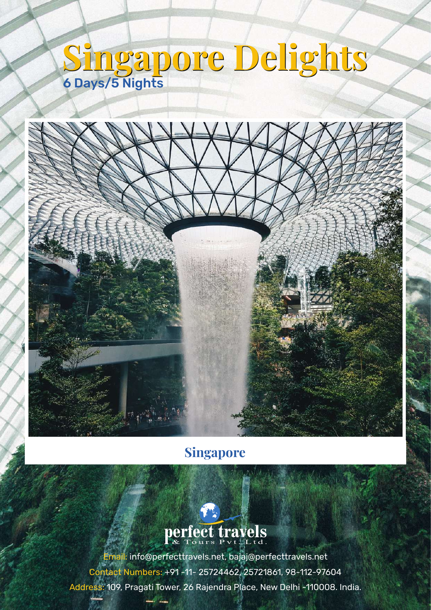# **Singapore Delights Singapore Delights** 6 Days/5 Nights



## **Singapore**



Email: info@perfecttravels.net, bajaj@perfecttravels.net Contact Numbers: +91 -11- 25724462, 25721861, 98-112-97604 Address: 109, Pragati Tower, 26 Rajendra Place, New Delhi -110008. India.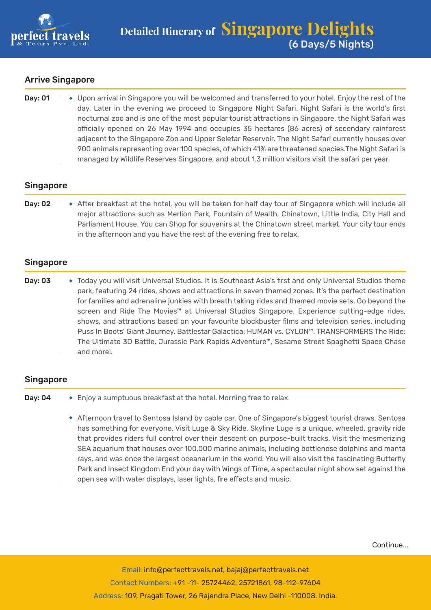

#### Arrive Singapore

| Day: 01 | • Upon arrival in Singapore you will be welcomed and transferred to your hotel. Enjoy the rest of the |
|---------|-------------------------------------------------------------------------------------------------------|
|         | day. Later in the evening we proceed to Singapore Night Safari. Night Safari is the world's first     |
|         | nocturnal zoo and is one of the most popular tourist attractions in Singapore. the Night Safari was   |
|         | officially opened on 26 May 1994 and occupies 35 hectares (86 acres) of secondary rainforest          |
|         | adjacent to the Singapore Zoo and Upper Seletar Reservoir. The Night Safari currently houses over     |
|         | 900 animals representing over 100 species, of which 41% are threatened species. The Night Safari is   |
|         | managed by Wildlife Reserves Singapore, and about 1.3 million visitors visit the safari per year.     |

#### Singapore

| <b>Day: 02</b> | • After breakfast at the hotel, you will be taken for half day tour of Singapore which will include all |
|----------------|---------------------------------------------------------------------------------------------------------|
|                | major attractions such as Merlion Park, Fountain of Wealth, Chinatown, Little India, City Hall and      |
|                | Parliament House. You can Shop for souvenirs at the Chinatown street market. Your city tour ends        |
|                | in the afternoon and you have the rest of the evening free to relax.                                    |

#### Singapore

| Day: 03 | • Today you will visit Universal Studios. It is Southeast Asia's first and only Universal Studios theme |
|---------|---------------------------------------------------------------------------------------------------------|
|         | park, featuring 24 rides, shows and attractions in seven themed zones. It's the perfect destination     |
|         | for families and adrenaline junkies with breath taking rides and themed movie sets. Go beyond the       |
|         | screen and Ride The Movies™ at Universal Studios Singapore. Experience cutting-edge rides,              |
|         | shows, and attractions based on your favourite blockbuster films and television series, including       |
|         | Puss In Boots' Giant Journey, Battlestar Galactica: HUMAN vs. CYLON™, TRANSFORMERS The Ride:            |
|         | The Ultimate 3D Battle, Jurassic Park Rapids Adventure™, Sesame Street Spaghetti Space Chase            |
|         | and more!.                                                                                              |

#### Singapore

- **Day: 04**  $\rightarrow$  Enjoy a sumptuous breakfast at the hotel. Morning free to relax
	- Afternoon travel to Sentosa Island by cable car. One of Singapore's biggest tourist draws, Sentosa has something for everyone. Visit Luge & Sky Ride, Skyline Luge is a unique, wheeled, gravity ride that provides riders full control over their descent on purpose-built tracks. Visit the mesmerizing SEA aquarium that houses over 100,000 marine animals, including bottlenose dolphins and manta rays, and was once the largest oceanarium in the world. You will also visit the fascinating Butterfly Park and Insect Kingdom End your day with Wings of Time, a spectacular night show set against the open sea with water displays, laser lights, fire effects and music.

Continue...